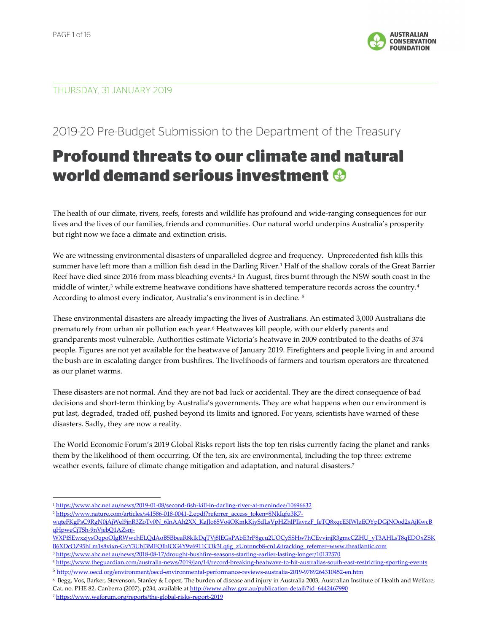

## THURSDAY, 31 JANUARY 2019

## 2019-20 Pre-Budget Submission to the Department of the Treasury

## Profound threats to our climate and natural world demand serious investment

The health of our climate, rivers, reefs, forests and wildlife has profound and wide-ranging consequences for our lives and the lives of our families, friends and communities. Our natural world underpins Australia's prosperity but right now we face a climate and extinction crisis.

We are witnessing environmental disasters of unparalleled degree and frequency. Unprecedented fish kills this summer have left more than a million fish dead in the Darling River.<sup>1</sup> Half of the shallow corals of the Great Barrier Reef have died since 2016 from mass bleaching events.<sup>2</sup> In August, fires burnt through the NSW south coast in the middle of winter,<sup>3</sup> while extreme heatwave conditions have shattered temperature records across the country.<sup>4</sup> According to almost every indicator, Australia's environment is in decline. <sup>5</sup>

These environmental disasters are already impacting the lives of Australians. An estimated 3,000 Australians die prematurely from urban air pollution each year.<sup>6</sup> Heatwaves kill people, with our elderly parents and grandparents most vulnerable. Authorities estimate Victoria's heatwave in 2009 contributed to the deaths of 374 people. Figures are not yet available for the heatwave of January 2019. Firefighters and people living in and around the bush are in escalating danger from bushfires. The livelihoods of farmers and tourism operators are threatened as our planet warms.

These disasters are not normal. And they are not bad luck or accidental. They are the direct consequence of bad decisions and short-term thinking by Australia's governments. They are what happens when our environment is put last, degraded, traded off, pushed beyond its limits and ignored. For years, scientists have warned of these disasters. Sadly, they are now a reality.

The World Economic Forum's 2019 Global Risks report lists the top ten risks currently facing the planet and ranks them by the likelihood of them occurring. Of the ten, six are environmental, including the top three: extreme weather events, failure of climate change mitigation and adaptation, and natural disasters.<sup>7</sup>

- <sup>1</sup> https://www.abc.net.au/news/2019-01-08/second-fish-kill-in-darling-river-at-menindee/10696632
- <sup>2</sup> https://www.nature.com/articles/s41586-018-0041-2.epdf?referrer\_access\_token=8NkIqfu3K7-

j

wqteFKgPsC9RgN0jAjWel9jnR3ZoTv0N\_6InAAh2XX\_KaJlo65Vo4OKmkKiySdLsVpHZhlPIkvrzF\_IeTO8xqcE3IWlzEOYpDGjNOod2sAiKwcB qHpweCjTSh-9nVjebQ1AZsnj-

WXPfSEwxzjysOqpoOIgRWwchELQdAoB5BbeaR8klkDqTVj8lEGsPAbE3rP8gcu2UOCySSHw7hCEvvinjR3gmcCZHU\_yT3AHLsT8qEDOxZSK B6XDcOZ95hLm1s8vixn-GvY3UbJ3MEQIhIOG4Y9v6911COk3Lq6g\_zUntnncb8-cnL&tracking\_referrer=www.theatlantic.com

<sup>3</sup> https://www.abc.net.au/news/2018-08-17/drought-bushfire-seasons-starting-earlier-lasting-longer/10132570

<sup>4</sup> https://www.theguardian.com/australia-news/2019/jan/14/record-breaking-heatwave-to-hit-australias-south-east-restricting-sporting-events <sup>5</sup> http://www.oecd.org/environment/oecd-environmental-performance-reviews-australia-2019-9789264310452-en.htm

<sup>6</sup> Begg, Vos, Barker, Stevenson, Stanley & Lopez, The burden of disease and injury in Australia 2003, Australian Institute of Health and Welfare, Cat. no. PHE 82, Canberra (2007), p234, available at http://www.aihw.gov.au/publication-detail/?id=6442467990

<sup>7</sup> https://www.weforum.org/reports/the-global-risks-report-2019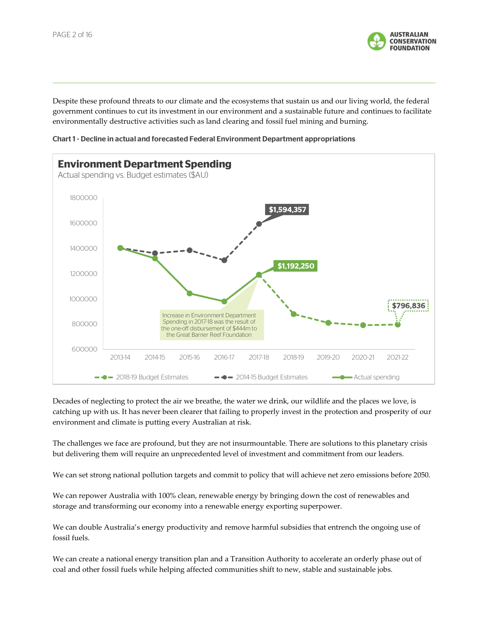

Despite these profound threats to our climate and the ecosystems that sustain us and our living world, the federal government continues to cut its investment in our environment and a sustainable future and continues to facilitate environmentally destructive activities such as land clearing and fossil fuel mining and burning.





Decades of neglecting to protect the air we breathe, the water we drink, our wildlife and the places we love, is catching up with us. It has never been clearer that failing to properly invest in the protection and prosperity of our environment and climate is putting every Australian at risk.

The challenges we face are profound, but they are not insurmountable. There are solutions to this planetary crisis but delivering them will require an unprecedented level of investment and commitment from our leaders.

We can set strong national pollution targets and commit to policy that will achieve net zero emissions before 2050.

We can repower Australia with 100% clean, renewable energy by bringing down the cost of renewables and storage and transforming our economy into a renewable energy exporting superpower.

We can double Australia's energy productivity and remove harmful subsidies that entrench the ongoing use of fossil fuels.

We can create a national energy transition plan and a Transition Authority to accelerate an orderly phase out of coal and other fossil fuels while helping affected communities shift to new, stable and sustainable jobs.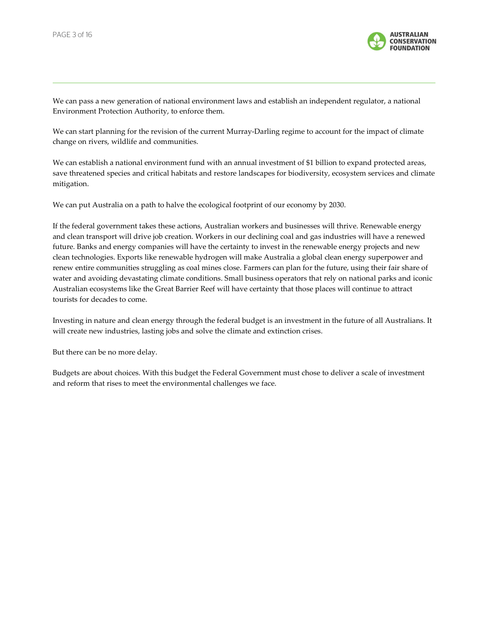

We can pass a new generation of national environment laws and establish an independent regulator, a national Environment Protection Authority, to enforce them.

We can start planning for the revision of the current Murray-Darling regime to account for the impact of climate change on rivers, wildlife and communities.

We can establish a national environment fund with an annual investment of \$1 billion to expand protected areas, save threatened species and critical habitats and restore landscapes for biodiversity, ecosystem services and climate mitigation.

We can put Australia on a path to halve the ecological footprint of our economy by 2030.

If the federal government takes these actions, Australian workers and businesses will thrive. Renewable energy and clean transport will drive job creation. Workers in our declining coal and gas industries will have a renewed future. Banks and energy companies will have the certainty to invest in the renewable energy projects and new clean technologies. Exports like renewable hydrogen will make Australia a global clean energy superpower and renew entire communities struggling as coal mines close. Farmers can plan for the future, using their fair share of water and avoiding devastating climate conditions. Small business operators that rely on national parks and iconic Australian ecosystems like the Great Barrier Reef will have certainty that those places will continue to attract tourists for decades to come.

Investing in nature and clean energy through the federal budget is an investment in the future of all Australians. It will create new industries, lasting jobs and solve the climate and extinction crises.

But there can be no more delay.

Budgets are about choices. With this budget the Federal Government must chose to deliver a scale of investment and reform that rises to meet the environmental challenges we face.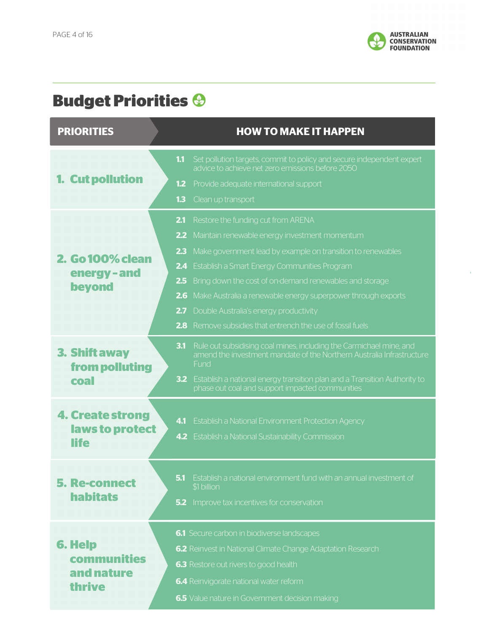

## Budget Priorities

| <b>Budget Priorities &amp;</b>                        |                                                                                                                                                                                                                                                                                                                                                                                                                                                                                                     |
|-------------------------------------------------------|-----------------------------------------------------------------------------------------------------------------------------------------------------------------------------------------------------------------------------------------------------------------------------------------------------------------------------------------------------------------------------------------------------------------------------------------------------------------------------------------------------|
| <b>PRIORITIES</b>                                     | <b>HOW TO MAKE IT HAPPEN</b>                                                                                                                                                                                                                                                                                                                                                                                                                                                                        |
| 1. Cut pollution                                      | Set pollution targets, commit to policy and secure independent expert<br>1.1<br>advice to achieve net zero emissions before 2050<br>1.2<br>Provide adequate international support<br>1.3<br>Clean up transport                                                                                                                                                                                                                                                                                      |
| <b>2. Go 100% clean</b><br>energy-and<br>beyond       | Restore the funding cut from ARENA<br>2.1<br>Maintain renewable energy investment momentum<br>2.2 <sub>2</sub><br>Make government lead by example on transition to renewables<br>2.3<br>2.4<br>Establish a Smart Energy Communities Program<br>Bring down the cost of on-demand renewables and storage<br>2.5<br>2.6<br>Make Australia a renewable energy superpower through exports<br>Double Australia's energy productivity<br>2.7<br>2.8 Remove subsidies that entrench the use of fossil fuels |
| 3. Shift away<br>from polluting<br>coal               | 3.1<br>Rule out subsidising coal mines, including the Carmichael mine, and<br>amend the investment mandate of the Northern Australia Infrastructure<br>Fund<br>3.2<br>Establish a national energy transition plan and a Transition Authority to<br>phase out coal and support impacted communities                                                                                                                                                                                                  |
| <b>4. Create strong</b><br>laws to protect            | 4.1<br>Establish a National Environment Protection Agency<br>4.2 Establish a National Sustainability Commission                                                                                                                                                                                                                                                                                                                                                                                     |
| <b>5. Re-connect</b><br><b>habitats</b>               | Establish a national environment fund with an annual investment of<br>5.1<br>\$1 billion<br><b>5.2</b> Improve tax incentives for conservation                                                                                                                                                                                                                                                                                                                                                      |
| <b>6. Help</b><br>communities<br>and nature<br>thrive | 6.1 Secure carbon in biodiverse landscapes<br>6.2 Reinvest in National Climate Change Adaptation Research<br>6.3 Restore out rivers to good health<br>6.4 Reinvigorate national water reform<br>6.5 Value nature in Government decision making                                                                                                                                                                                                                                                      |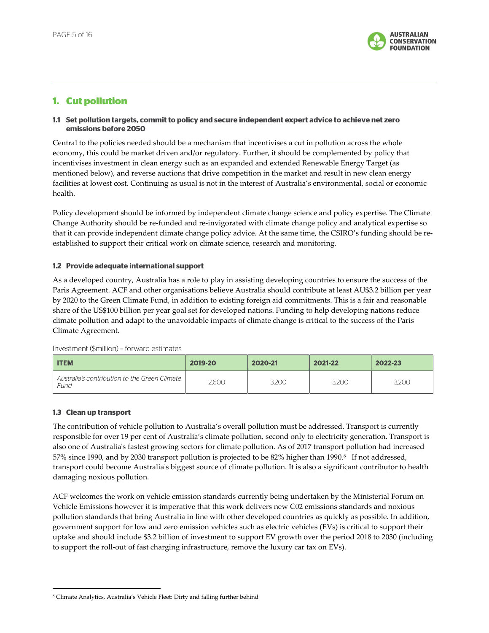

## 1. Cut pollution

#### 1.1 Set pollution targets, commit to policy and secure independent expert advice to achieve net zero emissions before 2050

Central to the policies needed should be a mechanism that incentivises a cut in pollution across the whole economy, this could be market driven and/or regulatory. Further, it should be complemented by policy that incentivises investment in clean energy such as an expanded and extended Renewable Energy Target (as mentioned below), and reverse auctions that drive competition in the market and result in new clean energy facilities at lowest cost. Continuing as usual is not in the interest of Australia's environmental, social or economic health.

Policy development should be informed by independent climate change science and policy expertise. The Climate Change Authority should be re-funded and re-invigorated with climate change policy and analytical expertise so that it can provide independent climate change policy advice. At the same time, the CSIRO's funding should be reestablished to support their critical work on climate science, research and monitoring.

#### 1.2 Provide adequate international support

As a developed country, Australia has a role to play in assisting developing countries to ensure the success of the Paris Agreement. ACF and other organisations believe Australia should contribute at least AU\$3.2 billion per year by 2020 to the Green Climate Fund, in addition to existing foreign aid commitments. This is a fair and reasonable share of the US\$100 billion per year goal set for developed nations. Funding to help developing nations reduce climate pollution and adapt to the unavoidable impacts of climate change is critical to the success of the Paris Climate Agreement.

| <b>ITEM</b>                                           | 2019-20 | 2020-21 | 2021-22 | 2022-23 |
|-------------------------------------------------------|---------|---------|---------|---------|
| Australia's contribution to the Green Climate<br>Fund | 2.600   | 3.200   | 3.200   | 3.200   |

Investment (\$million) – forward estimates

#### 1.3 Clean up transport

-

The contribution of vehicle pollution to Australia's overall pollution must be addressed. Transport is currently responsible for over 19 per cent of Australia's climate pollution, second only to electricity generation. Transport is also one of Australia's fastest growing sectors for climate pollution. As of 2017 transport pollution had increased 57% since 1990, and by 2030 transport pollution is projected to be 82% higher than 1990.<sup>8</sup> If not addressed, transport could become Australia's biggest source of climate pollution. It is also a significant contributor to health damaging noxious pollution.

ACF welcomes the work on vehicle emission standards currently being undertaken by the Ministerial Forum on Vehicle Emissions however it is imperative that this work delivers new C02 emissions standards and noxious pollution standards that bring Australia in line with other developed countries as quickly as possible. In addition, government support for low and zero emission vehicles such as electric vehicles (EVs) is critical to support their uptake and should include \$3.2 billion of investment to support EV growth over the period 2018 to 2030 (including to support the roll-out of fast charging infrastructure, remove the luxury car tax on EVs).

<sup>8</sup> Climate Analytics, Australia's Vehicle Fleet: Dirty and falling further behind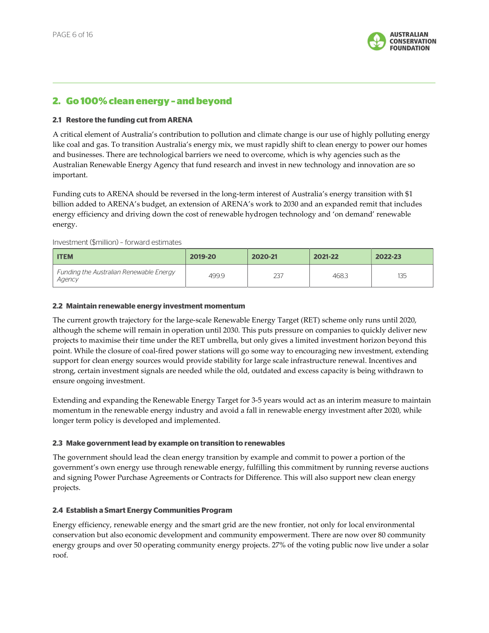

### 2. Go 100% clean energy – and beyond

#### 2.1 Restore the funding cut from ARENA

A critical element of Australia's contribution to pollution and climate change is our use of highly polluting energy like coal and gas. To transition Australia's energy mix, we must rapidly shift to clean energy to power our homes and businesses. There are technological barriers we need to overcome, which is why agencies such as the Australian Renewable Energy Agency that fund research and invest in new technology and innovation are so important.

Funding cuts to ARENA should be reversed in the long-term interest of Australia's energy transition with \$1 billion added to ARENA's budget, an extension of ARENA's work to 2030 and an expanded remit that includes energy efficiency and driving down the cost of renewable hydrogen technology and 'on demand' renewable energy.

#### Investment (\$million) – forward estimates

| <b>ITEM</b>                                       | 2019-20 | 2020-21 | 2021-22 | 2022-23 |
|---------------------------------------------------|---------|---------|---------|---------|
| Funding the Australian Renewable Energy<br>Agency | 499.9   | 237     | 468.3   | 135     |

#### 2.2 Maintain renewable energy investment momentum

The current growth trajectory for the large-scale Renewable Energy Target (RET) scheme only runs until 2020, although the scheme will remain in operation until 2030. This puts pressure on companies to quickly deliver new projects to maximise their time under the RET umbrella, but only gives a limited investment horizon beyond this point. While the closure of coal-fired power stations will go some way to encouraging new investment, extending support for clean energy sources would provide stability for large scale infrastructure renewal. Incentives and strong, certain investment signals are needed while the old, outdated and excess capacity is being withdrawn to ensure ongoing investment.

Extending and expanding the Renewable Energy Target for 3-5 years would act as an interim measure to maintain momentum in the renewable energy industry and avoid a fall in renewable energy investment after 2020, while longer term policy is developed and implemented.

#### 2.3 Make government lead by example on transition to renewables

The government should lead the clean energy transition by example and commit to power a portion of the government's own energy use through renewable energy, fulfilling this commitment by running reverse auctions and signing Power Purchase Agreements or Contracts for Difference. This will also support new clean energy projects.

#### 2.4 Establish a Smart Energy Communities Program

Energy efficiency, renewable energy and the smart grid are the new frontier, not only for local environmental conservation but also economic development and community empowerment. There are now over 80 community energy groups and over 50 operating community energy projects. 27% of the voting public now live under a solar roof.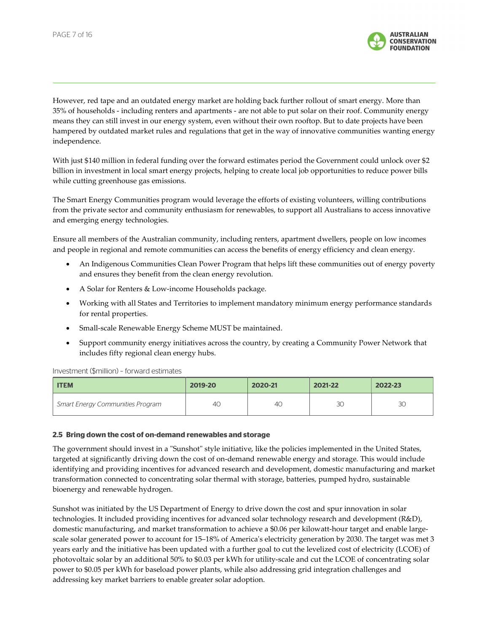

However, red tape and an outdated energy market are holding back further rollout of smart energy. More than 35% of households - including renters and apartments - are not able to put solar on their roof. Community energy means they can still invest in our energy system, even without their own rooftop. But to date projects have been hampered by outdated market rules and regulations that get in the way of innovative communities wanting energy independence.

With just \$140 million in federal funding over the forward estimates period the Government could unlock over \$2 billion in investment in local smart energy projects, helping to create local job opportunities to reduce power bills while cutting greenhouse gas emissions.

The Smart Energy Communities program would leverage the efforts of existing volunteers, willing contributions from the private sector and community enthusiasm for renewables, to support all Australians to access innovative and emerging energy technologies.

Ensure all members of the Australian community, including renters, apartment dwellers, people on low incomes and people in regional and remote communities can access the benefits of energy efficiency and clean energy.

- An Indigenous Communities Clean Power Program that helps lift these communities out of energy poverty and ensures they benefit from the clean energy revolution.
- A Solar for Renters & Low-income Households package.
- Working with all States and Territories to implement mandatory minimum energy performance standards for rental properties.
- Small-scale Renewable Energy Scheme MUST be maintained.
- Support community energy initiatives across the country, by creating a Community Power Network that includes fifty regional clean energy hubs.

Investment (\$million) – forward estimates

| <b>ITEM</b>                             | 2019-20 | 2020-21 | 2021-22 | 2022-23 |
|-----------------------------------------|---------|---------|---------|---------|
| <b>Smart Energy Communities Program</b> | 40      | 4C      | ЗC      | 30      |

#### 2.5 Bring down the cost of on-demand renewables and storage

The government should invest in a "Sunshot" style initiative, like the policies implemented in the United States, targeted at significantly driving down the cost of on-demand renewable energy and storage. This would include identifying and providing incentives for advanced research and development, domestic manufacturing and market transformation connected to concentrating solar thermal with storage, batteries, pumped hydro, sustainable bioenergy and renewable hydrogen.

Sunshot was initiated by the US Department of Energy to drive down the cost and spur innovation in solar technologies. It included providing incentives for advanced solar technology research and development (R&D), domestic manufacturing, and market transformation to achieve a \$0.06 per kilowatt-hour target and enable largescale solar generated power to account for 15–18% of America's electricity generation by 2030. The target was met 3 years early and the initiative has been updated with a further goal to cut the levelized cost of electricity (LCOE) of photovoltaic solar by an additional 50% to \$0.03 per kWh for utility-scale and cut the LCOE of concentrating solar power to \$0.05 per kWh for baseload power plants, while also addressing grid integration challenges and addressing key market barriers to enable greater solar adoption.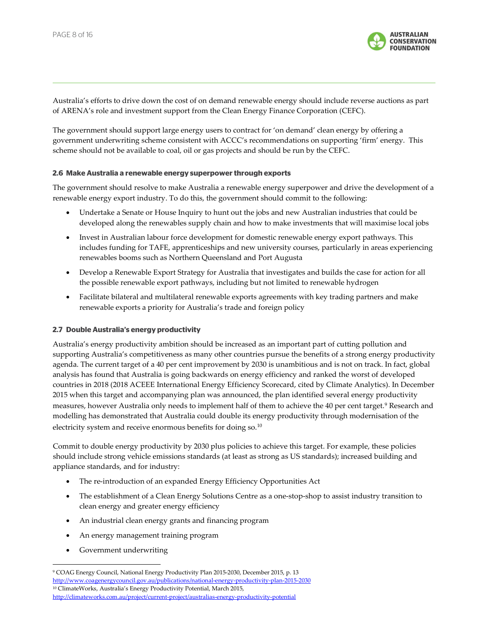

Australia's efforts to drive down the cost of on demand renewable energy should include reverse auctions as part of ARENA's role and investment support from the Clean Energy Finance Corporation (CEFC).

The government should support large energy users to contract for 'on demand' clean energy by offering a government underwriting scheme consistent with ACCC's recommendations on supporting 'firm' energy. This scheme should not be available to coal, oil or gas projects and should be run by the CEFC.

#### 2.6 Make Australia a renewable energy superpower through exports

The government should resolve to make Australia a renewable energy superpower and drive the development of a renewable energy export industry. To do this, the government should commit to the following:

- Undertake a Senate or House Inquiry to hunt out the jobs and new Australian industries that could be developed along the renewables supply chain and how to make investments that will maximise local jobs
- Invest in Australian labour force development for domestic renewable energy export pathways. This includes funding for TAFE, apprenticeships and new university courses, particularly in areas experiencing renewables booms such as Northern Queensland and Port Augusta
- Develop a Renewable Export Strategy for Australia that investigates and builds the case for action for all the possible renewable export pathways, including but not limited to renewable hydrogen
- Facilitate bilateral and multilateral renewable exports agreements with key trading partners and make renewable exports a priority for Australia's trade and foreign policy

#### 2.7 Double Australia's energy productivity

Australia's energy productivity ambition should be increased as an important part of cutting pollution and supporting Australia's competitiveness as many other countries pursue the benefits of a strong energy productivity agenda. The current target of a 40 per cent improvement by 2030 is unambitious and is not on track. In fact, global analysis has found that Australia is going backwards on energy efficiency and ranked the worst of developed countries in 2018 (2018 ACEEE International Energy Efficiency Scorecard, cited by Climate Analytics). In December 2015 when this target and accompanying plan was announced, the plan identified several energy productivity measures, however Australia only needs to implement half of them to achieve the 40 per cent target.<sup>9</sup> Research and modelling has demonstrated that Australia could double its energy productivity through modernisation of the electricity system and receive enormous benefits for doing so.<sup>10</sup>

Commit to double energy productivity by 2030 plus policies to achieve this target. For example, these policies should include strong vehicle emissions standards (at least as strong as US standards); increased building and appliance standards, and for industry:

- The re-introduction of an expanded Energy Efficiency Opportunities Act
- The establishment of a Clean Energy Solutions Centre as a one-stop-shop to assist industry transition to clean energy and greater energy efficiency
- An industrial clean energy grants and financing program
- An energy management training program
- Government underwriting

j

<sup>9</sup> COAG Energy Council, National Energy Productivity Plan 2015-2030, December 2015, p. 13 http://www.coagenergycouncil.gov.au/publications/national-energy-productivity-plan-2015-2030 <sup>10</sup> ClimateWorks, Australia's Energy Productivity Potential, March 2015, http://climateworks.com.au/project/current-project/australias-energy-productivity-potential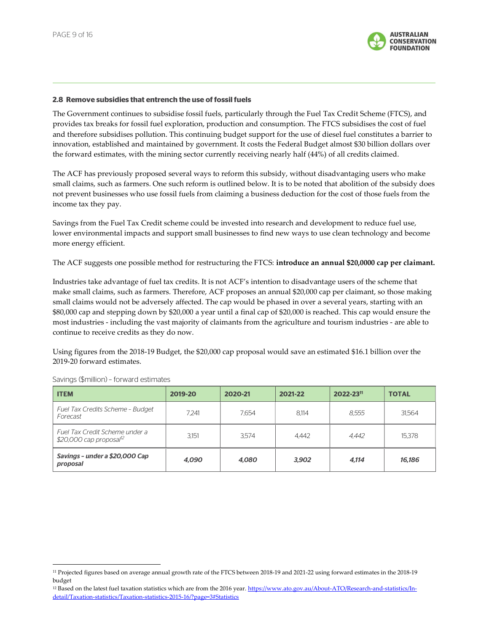

#### 2.8 Remove subsidies that entrench the use of fossil fuels

The Government continues to subsidise fossil fuels, particularly through the Fuel Tax Credit Scheme (FTCS), and provides tax breaks for fossil fuel exploration, production and consumption. The FTCS subsidises the cost of fuel and therefore subsidises pollution. This continuing budget support for the use of diesel fuel constitutes a barrier to innovation, established and maintained by government. It costs the Federal Budget almost \$30 billion dollars over the forward estimates, with the mining sector currently receiving nearly half (44%) of all credits claimed.

The ACF has previously proposed several ways to reform this subsidy, without disadvantaging users who make small claims, such as farmers. One such reform is outlined below. It is to be noted that abolition of the subsidy does not prevent businesses who use fossil fuels from claiming a business deduction for the cost of those fuels from the income tax they pay.

Savings from the Fuel Tax Credit scheme could be invested into research and development to reduce fuel use, lower environmental impacts and support small businesses to find new ways to use clean technology and become more energy efficient.

The ACF suggests one possible method for restructuring the FTCS: introduce an annual \$20,0000 cap per claimant.

Industries take advantage of fuel tax credits. It is not ACF's intention to disadvantage users of the scheme that make small claims, such as farmers. Therefore, ACF proposes an annual \$20,000 cap per claimant, so those making small claims would not be adversely affected. The cap would be phased in over a several years, starting with an \$80,000 cap and stepping down by \$20,000 a year until a final cap of \$20,000 is reached. This cap would ensure the most industries - including the vast majority of claimants from the agriculture and tourism industries - are able to continue to receive credits as they do now.

Using figures from the 2018-19 Budget, the \$20,000 cap proposal would save an estimated \$16.1 billion over the 2019-20 forward estimates.

| <b>ITEM</b>                                                            | 2019-20 | 2020-21 | 2021-22 | 2022-2311 | <b>TOTAL</b> |
|------------------------------------------------------------------------|---------|---------|---------|-----------|--------------|
| Fuel Tax Credits Scheme - Budget<br>Forecast                           | 7.241   | 7.654   | 8.114   | 8.555     | 31.564       |
| Fuel Tax Credit Scheme under a<br>$$20,000$ cap proposal <sup>12</sup> | 3,151   | 3.574   | 4.442   | 4.442     | 15.378       |
| Savings - under a \$20,000 Cap<br>proposal                             | 4.090   | 4.080   | 3.902   | 4,114     | 16,186       |

Savings (\$million) – forward estimates

j

<sup>11</sup> Projected figures based on average annual growth rate of the FTCS between 2018-19 and 2021-22 using forward estimates in the 2018-19 budget

<sup>&</sup>lt;sup>12</sup> Based on the latest fuel taxation statistics which are from the 2016 year. https://www.ato.gov.au/About-ATO/Research-and-statistics/Indetail/Taxation-statistics/Taxation-statistics-2015-16/?page=3#Statistics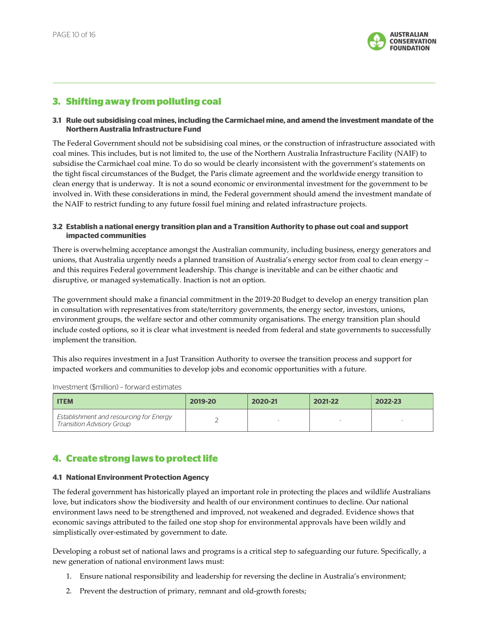

### 3. Shifting away from polluting coal

#### 3.1 Rule out subsidising coal mines, including the Carmichael mine, and amend the investment mandate of the Northern Australia Infrastructure Fund

The Federal Government should not be subsidising coal mines, or the construction of infrastructure associated with coal mines. This includes, but is not limited to, the use of the Northern Australia Infrastructure Facility (NAIF) to subsidise the Carmichael coal mine. To do so would be clearly inconsistent with the government's statements on the tight fiscal circumstances of the Budget, the Paris climate agreement and the worldwide energy transition to clean energy that is underway. It is not a sound economic or environmental investment for the government to be involved in. With these considerations in mind, the Federal government should amend the investment mandate of the NAIF to restrict funding to any future fossil fuel mining and related infrastructure projects.

#### 3.2 Establish a national energy transition plan and a Transition Authority to phase out coal and support impacted communities

There is overwhelming acceptance amongst the Australian community, including business, energy generators and unions, that Australia urgently needs a planned transition of Australia's energy sector from coal to clean energy – and this requires Federal government leadership. This change is inevitable and can be either chaotic and disruptive, or managed systematically. Inaction is not an option.

The government should make a financial commitment in the 2019-20 Budget to develop an energy transition plan in consultation with representatives from state/territory governments, the energy sector, investors, unions, environment groups, the welfare sector and other community organisations. The energy transition plan should include costed options, so it is clear what investment is needed from federal and state governments to successfully implement the transition.

This also requires investment in a Just Transition Authority to oversee the transition process and support for impacted workers and communities to develop jobs and economic opportunities with a future.

Investment (\$million) – forward estimates

| <b>ITEM</b>                                                                 | 2019-20 | 2020-21 | 2021-22 | 2022-23 |
|-----------------------------------------------------------------------------|---------|---------|---------|---------|
| Establishment and resourcing for Energy<br><b>Transition Advisory Group</b> |         |         |         |         |

## 4. Create strong laws to protect life

#### 4.1 National Environment Protection Agency

The federal government has historically played an important role in protecting the places and wildlife Australians love, but indicators show the biodiversity and health of our environment continues to decline. Our national environment laws need to be strengthened and improved, not weakened and degraded. Evidence shows that economic savings attributed to the failed one stop shop for environmental approvals have been wildly and simplistically over-estimated by government to date.

Developing a robust set of national laws and programs is a critical step to safeguarding our future. Specifically, a new generation of national environment laws must:

- 1. Ensure national responsibility and leadership for reversing the decline in Australia's environment;
- 2. Prevent the destruction of primary, remnant and old-growth forests;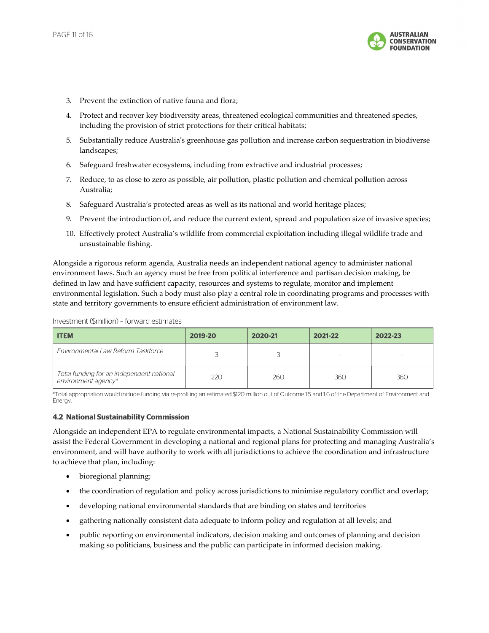

- 3. Prevent the extinction of native fauna and flora;
- 4. Protect and recover key biodiversity areas, threatened ecological communities and threatened species, including the provision of strict protections for their critical habitats;
- 5. Substantially reduce Australia's greenhouse gas pollution and increase carbon sequestration in biodiverse landscapes;
- 6. Safeguard freshwater ecosystems, including from extractive and industrial processes;
- 7. Reduce, to as close to zero as possible, air pollution, plastic pollution and chemical pollution across Australia;
- 8. Safeguard Australia's protected areas as well as its national and world heritage places;
- 9. Prevent the introduction of, and reduce the current extent, spread and population size of invasive species;
- 10. Effectively protect Australia's wildlife from commercial exploitation including illegal wildlife trade and unsustainable fishing.

Alongside a rigorous reform agenda, Australia needs an independent national agency to administer national environment laws. Such an agency must be free from political interference and partisan decision making, be defined in law and have sufficient capacity, resources and systems to regulate, monitor and implement environmental legislation. Such a body must also play a central role in coordinating programs and processes with state and territory governments to ensure efficient administration of environment law.

| <b>ITEM</b>                                                      | 2019-20 | 2020-21 | 2021-22 | 2022-23 |
|------------------------------------------------------------------|---------|---------|---------|---------|
| <b>Fnvironmental Law Reform Taskforce</b>                        |         |         |         |         |
| Total funding for an independent national<br>environment agency* | 220     | 260     | 360     | 360     |

Investment (\$million) – forward estimates

\*Total appropriation would include funding via re-profiling an estimated \$120 million out of Outcome 1.5 and 1.6 of the Department of Environment and Energy.

#### 4.2 National Sustainability Commission

Alongside an independent EPA to regulate environmental impacts, a National Sustainability Commission will assist the Federal Government in developing a national and regional plans for protecting and managing Australia's environment, and will have authority to work with all jurisdictions to achieve the coordination and infrastructure to achieve that plan, including:

- bioregional planning;
- the coordination of regulation and policy across jurisdictions to minimise regulatory conflict and overlap;
- developing national environmental standards that are binding on states and territories
- gathering nationally consistent data adequate to inform policy and regulation at all levels; and
- public reporting on environmental indicators, decision making and outcomes of planning and decision making so politicians, business and the public can participate in informed decision making.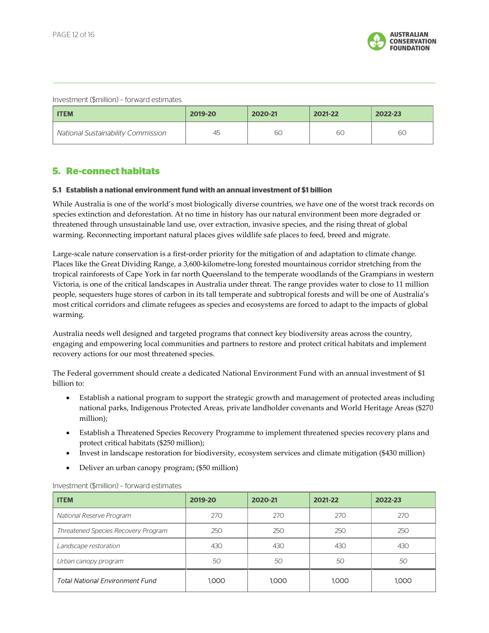

#### Investment (\$million) – forward estimates

| <b>ITEM</b>                               | 2019-20 | 2020-21 | 2021-22 | 2022-23 |
|-------------------------------------------|---------|---------|---------|---------|
| <b>National Sustainability Commission</b> | 45      | 60      | 60      | 6C      |

## 5. Re-connect habitats

#### 5.1 Establish a national environment fund with an annual investment of \$1 billion

While Australia is one of the world's most biologically diverse countries, we have one of the worst track records on species extinction and deforestation. At no time in history has our natural environment been more degraded or threatened through unsustainable land use, over extraction, invasive species, and the rising threat of global warming. Reconnecting important natural places gives wildlife safe places to feed, breed and migrate.

Large-scale nature conservation is a first-order priority for the mitigation of and adaptation to climate change. Places like the Great Dividing Range, a 3,600-kilometre-long forested mountainous corridor stretching from the tropical rainforests of Cape York in far north Queensland to the temperate woodlands of the Grampians in western Victoria, is one of the critical landscapes in Australia under threat. The range provides water to close to 11 million people, sequesters huge stores of carbon in its tall temperate and subtropical forests and will be one of Australia's most critical corridors and climate refugees as species and ecosystems are forced to adapt to the impacts of global warming.

Australia needs well designed and targeted programs that connect key biodiversity areas across the country, engaging and empowering local communities and partners to restore and protect critical habitats and implement recovery actions for our most threatened species.

The Federal government should create a dedicated National Environment Fund with an annual investment of \$1 billion to:

- Establish a national program to support the strategic growth and management of protected areas including national parks, Indigenous Protected Areas, private landholder covenants and World Heritage Areas (\$270 million);
- Establish a Threatened Species Recovery Programme to implement threatened species recovery plans and protect critical habitats (\$250 million);
- Invest in landscape restoration for biodiversity, ecosystem services and climate mitigation (\$430 million)
- Deliver an urban canopy program; (\$50 million)

| <b>ITEM</b>                                | 2019-20 | 2020-21 | 2021-22 | 2022-23 |
|--------------------------------------------|---------|---------|---------|---------|
| National Reserve Program                   | 270     | 270     | 270     | 270     |
| <b>Threatened Species Recovery Program</b> | 250     | 250     | 250     | 250     |
| Landscape restoration                      | 430     | 430     | 430     | 430     |
| Urban canopy program                       | 50      | 50      | 50      | 50      |
| <b>Total National Environment Fund</b>     | 1.000   | 1.000   | 1.000   | 1.000   |

#### Investment (\$million) – forward estimates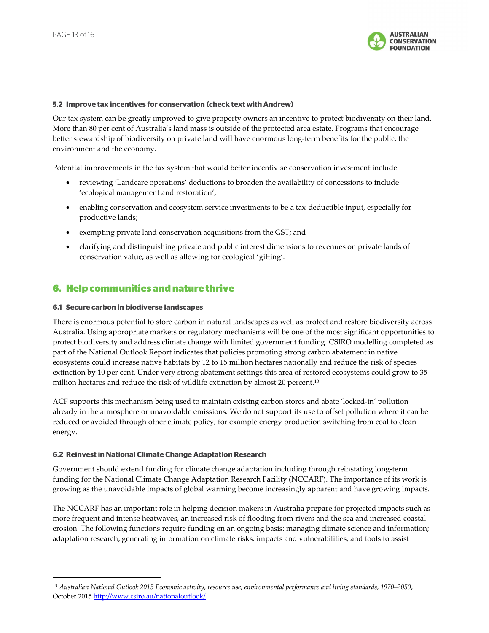

#### 5.2 Improve tax incentives for conservation (check text with Andrew)

Our tax system can be greatly improved to give property owners an incentive to protect biodiversity on their land. More than 80 per cent of Australia's land mass is outside of the protected area estate. Programs that encourage better stewardship of biodiversity on private land will have enormous long-term benefits for the public, the environment and the economy.

Potential improvements in the tax system that would better incentivise conservation investment include:

- reviewing 'Landcare operations' deductions to broaden the availability of concessions to include 'ecological management and restoration';
- enabling conservation and ecosystem service investments to be a tax-deductible input, especially for productive lands;
- exempting private land conservation acquisitions from the GST; and
- clarifying and distinguishing private and public interest dimensions to revenues on private lands of conservation value, as well as allowing for ecological 'gifting'.

### 6. Help communities and nature thrive

#### 6.1 Secure carbon in biodiverse landscapes

j

There is enormous potential to store carbon in natural landscapes as well as protect and restore biodiversity across Australia. Using appropriate markets or regulatory mechanisms will be one of the most significant opportunities to protect biodiversity and address climate change with limited government funding. CSIRO modelling completed as part of the National Outlook Report indicates that policies promoting strong carbon abatement in native ecosystems could increase native habitats by 12 to 15 million hectares nationally and reduce the risk of species extinction by 10 per cent. Under very strong abatement settings this area of restored ecosystems could grow to 35 million hectares and reduce the risk of wildlife extinction by almost 20 percent.<sup>13</sup>

ACF supports this mechanism being used to maintain existing carbon stores and abate 'locked-in' pollution already in the atmosphere or unavoidable emissions. We do not support its use to offset pollution where it can be reduced or avoided through other climate policy, for example energy production switching from coal to clean energy.

#### 6.2 Reinvest in National Climate Change Adaptation Research

Government should extend funding for climate change adaptation including through reinstating long-term funding for the National Climate Change Adaptation Research Facility (NCCARF). The importance of its work is growing as the unavoidable impacts of global warming become increasingly apparent and have growing impacts.

The NCCARF has an important role in helping decision makers in Australia prepare for projected impacts such as more frequent and intense heatwaves, an increased risk of flooding from rivers and the sea and increased coastal erosion. The following functions require funding on an ongoing basis: managing climate science and information; adaptation research; generating information on climate risks, impacts and vulnerabilities; and tools to assist

<sup>13</sup> Australian National Outlook 2015 Economic activity, resource use, environmental performance and living standards, 1970–2050, October 2015 http://www.csiro.au/nationaloutlook/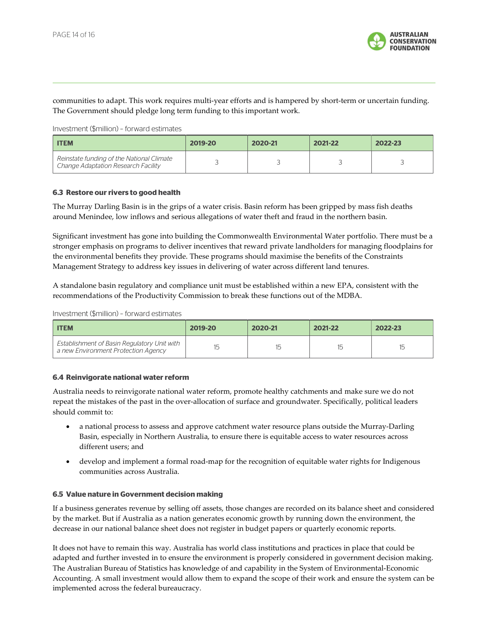

communities to adapt. This work requires multi-year efforts and is hampered by short-term or uncertain funding. The Government should pledge long term funding to this important work.

Investment (\$million) – forward estimates

| <b>ITEM</b>                                                                      | 2019-20 | 2020-21 | 2021-22 | 2022-23 |
|----------------------------------------------------------------------------------|---------|---------|---------|---------|
| Reinstate funding of the National Climate<br>Change Adaptation Research Facility |         |         |         |         |

#### 6.3 Restore our rivers to good health

The Murray Darling Basin is in the grips of a water crisis. Basin reform has been gripped by mass fish deaths around Menindee, low inflows and serious allegations of water theft and fraud in the northern basin.

Significant investment has gone into building the Commonwealth Environmental Water portfolio. There must be a stronger emphasis on programs to deliver incentives that reward private landholders for managing floodplains for the environmental benefits they provide. These programs should maximise the benefits of the Constraints Management Strategy to address key issues in delivering of water across different land tenures.

A standalone basin regulatory and compliance unit must be established within a new EPA, consistent with the recommendations of the Productivity Commission to break these functions out of the MDBA.

Investment (\$million) – forward estimates

| <b>ITEM</b>                                                                               | 2019-20 | 2020-21 | 2021-22 | 2022-23    |
|-------------------------------------------------------------------------------------------|---------|---------|---------|------------|
| <b>Establishment of Basin Regulatory Unit with</b><br>a new Environment Protection Agency | 15      | 15      | 15      | 1도<br>ر_ ا |

#### 6.4 Reinvigorate national water reform

Australia needs to reinvigorate national water reform, promote healthy catchments and make sure we do not repeat the mistakes of the past in the over-allocation of surface and groundwater. Specifically, political leaders should commit to:

- a national process to assess and approve catchment water resource plans outside the Murray-Darling Basin, especially in Northern Australia, to ensure there is equitable access to water resources across different users; and
- develop and implement a formal road-map for the recognition of equitable water rights for Indigenous communities across Australia.

#### 6.5 Value nature in Government decision making

If a business generates revenue by selling off assets, those changes are recorded on its balance sheet and considered by the market. But if Australia as a nation generates economic growth by running down the environment, the decrease in our national balance sheet does not register in budget papers or quarterly economic reports.

It does not have to remain this way. Australia has world class institutions and practices in place that could be adapted and further invested in to ensure the environment is properly considered in government decision making. The Australian Bureau of Statistics has knowledge of and capability in the System of Environmental-Economic Accounting. A small investment would allow them to expand the scope of their work and ensure the system can be implemented across the federal bureaucracy.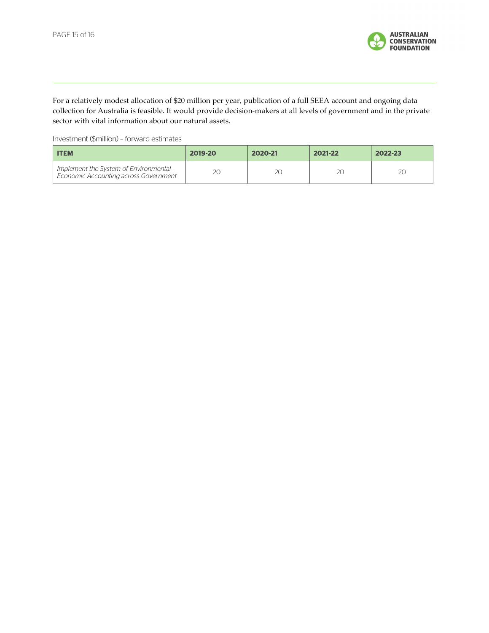

For a relatively modest allocation of \$20 million per year, publication of a full SEEA account and ongoing data collection for Australia is feasible. It would provide decision-makers at all levels of government and in the private sector with vital information about our natural assets.

Investment (\$million) – forward estimates

| <b>ITEM</b>                                                                      | 2019-20 | 2020-21 | 2021-22 | 2022-23 |
|----------------------------------------------------------------------------------|---------|---------|---------|---------|
| Implement the System of Environmental -<br>Economic Accounting across Government | 20      | 20      | 2С      | 2С      |